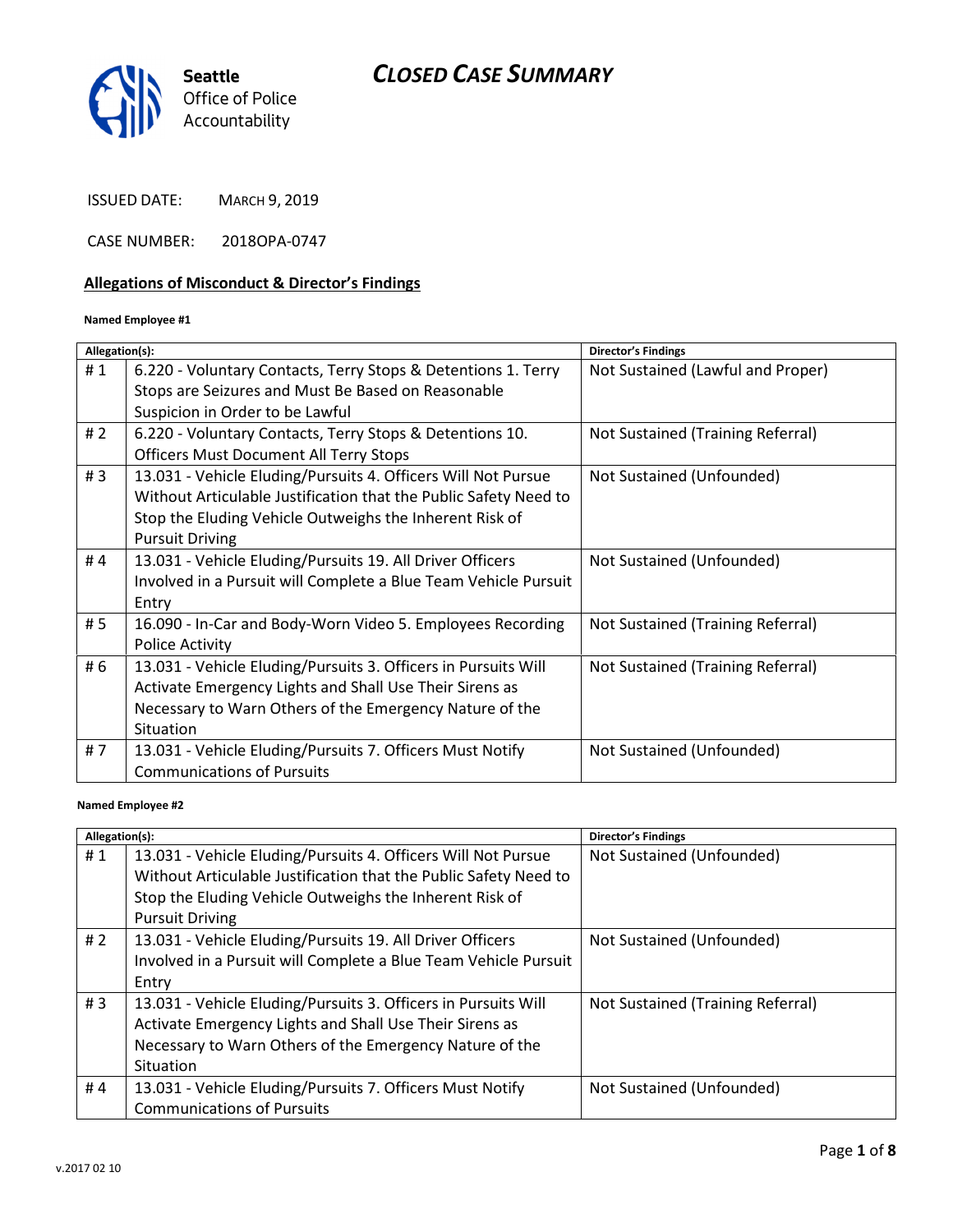

ISSUED DATE: MARCH 9, 2019

CASE NUMBER: 2018OPA-0747

# Allegations of Misconduct & Director's Findings

#### Named Employee #1

| Allegation(s): |                                                                  | <b>Director's Findings</b>        |
|----------------|------------------------------------------------------------------|-----------------------------------|
| #1             | 6.220 - Voluntary Contacts, Terry Stops & Detentions 1. Terry    | Not Sustained (Lawful and Proper) |
|                | Stops are Seizures and Must Be Based on Reasonable               |                                   |
|                | Suspicion in Order to be Lawful                                  |                                   |
| # $2$          | 6.220 - Voluntary Contacts, Terry Stops & Detentions 10.         | Not Sustained (Training Referral) |
|                | <b>Officers Must Document All Terry Stops</b>                    |                                   |
| #3             | 13.031 - Vehicle Eluding/Pursuits 4. Officers Will Not Pursue    | Not Sustained (Unfounded)         |
|                | Without Articulable Justification that the Public Safety Need to |                                   |
|                | Stop the Eluding Vehicle Outweighs the Inherent Risk of          |                                   |
|                | <b>Pursuit Driving</b>                                           |                                   |
| #4             | 13.031 - Vehicle Eluding/Pursuits 19. All Driver Officers        | Not Sustained (Unfounded)         |
|                | Involved in a Pursuit will Complete a Blue Team Vehicle Pursuit  |                                   |
|                | Entry                                                            |                                   |
| # 5            | 16.090 - In-Car and Body-Worn Video 5. Employees Recording       | Not Sustained (Training Referral) |
|                | <b>Police Activity</b>                                           |                                   |
| # 6            | 13.031 - Vehicle Eluding/Pursuits 3. Officers in Pursuits Will   | Not Sustained (Training Referral) |
|                | Activate Emergency Lights and Shall Use Their Sirens as          |                                   |
|                | Necessary to Warn Others of the Emergency Nature of the          |                                   |
|                | Situation                                                        |                                   |
| #7             | 13.031 - Vehicle Eluding/Pursuits 7. Officers Must Notify        | Not Sustained (Unfounded)         |
|                | <b>Communications of Pursuits</b>                                |                                   |
|                |                                                                  |                                   |

#### Named Employee #2

| Allegation(s): |                                                                                                                                                                                                                        | <b>Director's Findings</b>        |
|----------------|------------------------------------------------------------------------------------------------------------------------------------------------------------------------------------------------------------------------|-----------------------------------|
| #1             | 13.031 - Vehicle Eluding/Pursuits 4. Officers Will Not Pursue<br>Without Articulable Justification that the Public Safety Need to<br>Stop the Eluding Vehicle Outweighs the Inherent Risk of<br><b>Pursuit Driving</b> | Not Sustained (Unfounded)         |
| # $2$          | 13.031 - Vehicle Eluding/Pursuits 19. All Driver Officers<br>Involved in a Pursuit will Complete a Blue Team Vehicle Pursuit<br>Entry                                                                                  | Not Sustained (Unfounded)         |
| # $3$          | 13.031 - Vehicle Eluding/Pursuits 3. Officers in Pursuits Will<br>Activate Emergency Lights and Shall Use Their Sirens as<br>Necessary to Warn Others of the Emergency Nature of the<br>Situation                      | Not Sustained (Training Referral) |
| #4             | 13.031 - Vehicle Eluding/Pursuits 7. Officers Must Notify<br><b>Communications of Pursuits</b>                                                                                                                         | Not Sustained (Unfounded)         |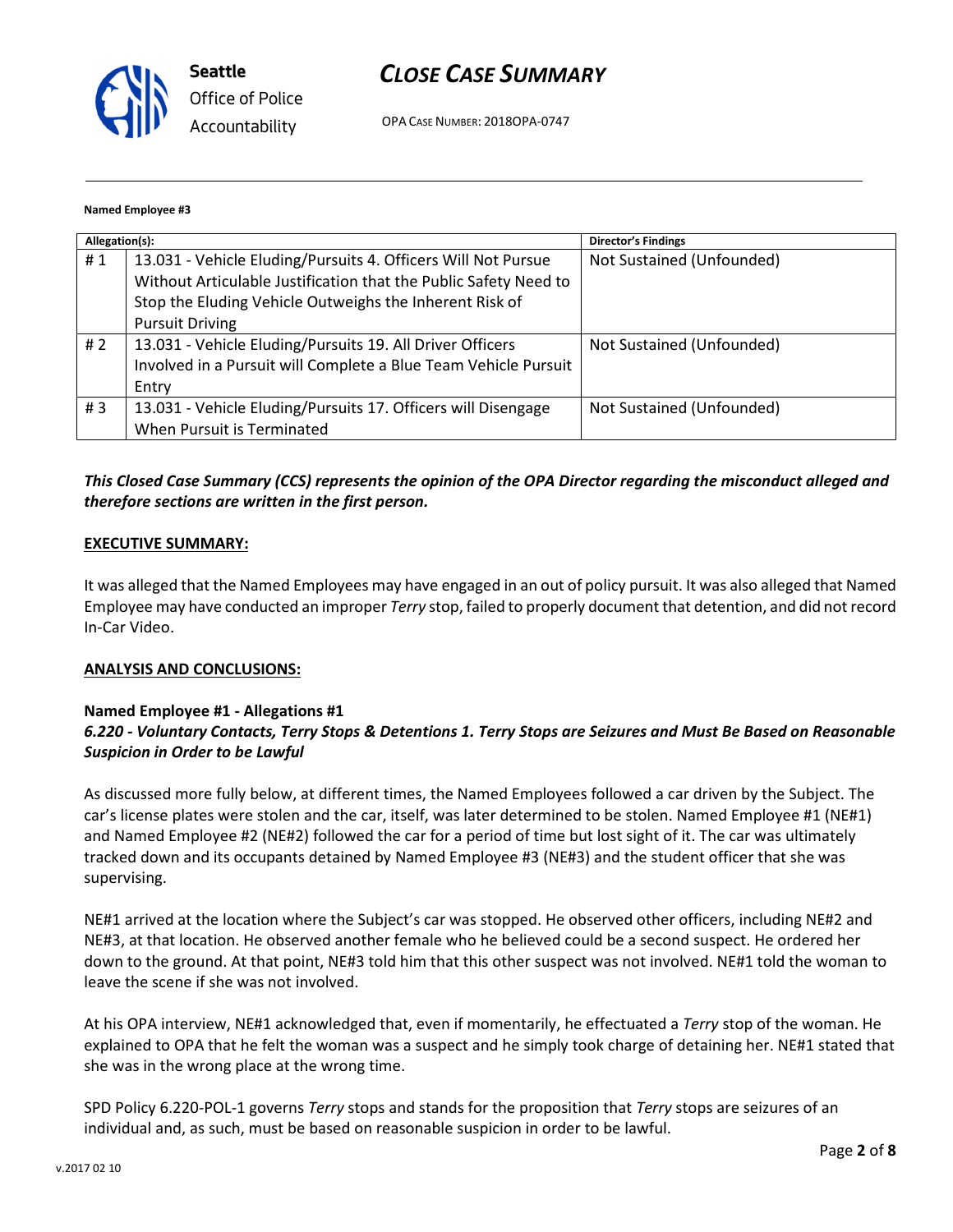

OPA CASE NUMBER: 2018OPA-0747

#### Named Employee #3

| Allegation(s): |                                                                  | <b>Director's Findings</b> |
|----------------|------------------------------------------------------------------|----------------------------|
| #1             | 13.031 - Vehicle Eluding/Pursuits 4. Officers Will Not Pursue    | Not Sustained (Unfounded)  |
|                | Without Articulable Justification that the Public Safety Need to |                            |
|                | Stop the Eluding Vehicle Outweighs the Inherent Risk of          |                            |
|                | <b>Pursuit Driving</b>                                           |                            |
| #2             | 13.031 - Vehicle Eluding/Pursuits 19. All Driver Officers        | Not Sustained (Unfounded)  |
|                | Involved in a Pursuit will Complete a Blue Team Vehicle Pursuit  |                            |
|                | Entry                                                            |                            |
| #3             | 13.031 - Vehicle Eluding/Pursuits 17. Officers will Disengage    | Not Sustained (Unfounded)  |
|                | When Pursuit is Terminated                                       |                            |

# This Closed Case Summary (CCS) represents the opinion of the OPA Director regarding the misconduct alleged and therefore sections are written in the first person.

#### EXECUTIVE SUMMARY:

It was alleged that the Named Employees may have engaged in an out of policy pursuit. It was also alleged that Named Employee may have conducted an improper Terry stop, failed to properly document that detention, and did not record In-Car Video.

#### ANALYSIS AND CONCLUSIONS:

#### Named Employee #1 - Allegations #1

# 6.220 - Voluntary Contacts, Terry Stops & Detentions 1. Terry Stops are Seizures and Must Be Based on Reasonable Suspicion in Order to be Lawful

As discussed more fully below, at different times, the Named Employees followed a car driven by the Subject. The car's license plates were stolen and the car, itself, was later determined to be stolen. Named Employee #1 (NE#1) and Named Employee #2 (NE#2) followed the car for a period of time but lost sight of it. The car was ultimately tracked down and its occupants detained by Named Employee #3 (NE#3) and the student officer that she was supervising.

NE#1 arrived at the location where the Subject's car was stopped. He observed other officers, including NE#2 and NE#3, at that location. He observed another female who he believed could be a second suspect. He ordered her down to the ground. At that point, NE#3 told him that this other suspect was not involved. NE#1 told the woman to leave the scene if she was not involved.

At his OPA interview, NE#1 acknowledged that, even if momentarily, he effectuated a Terry stop of the woman. He explained to OPA that he felt the woman was a suspect and he simply took charge of detaining her. NE#1 stated that she was in the wrong place at the wrong time.

SPD Policy 6.220-POL-1 governs Terry stops and stands for the proposition that Terry stops are seizures of an individual and, as such, must be based on reasonable suspicion in order to be lawful.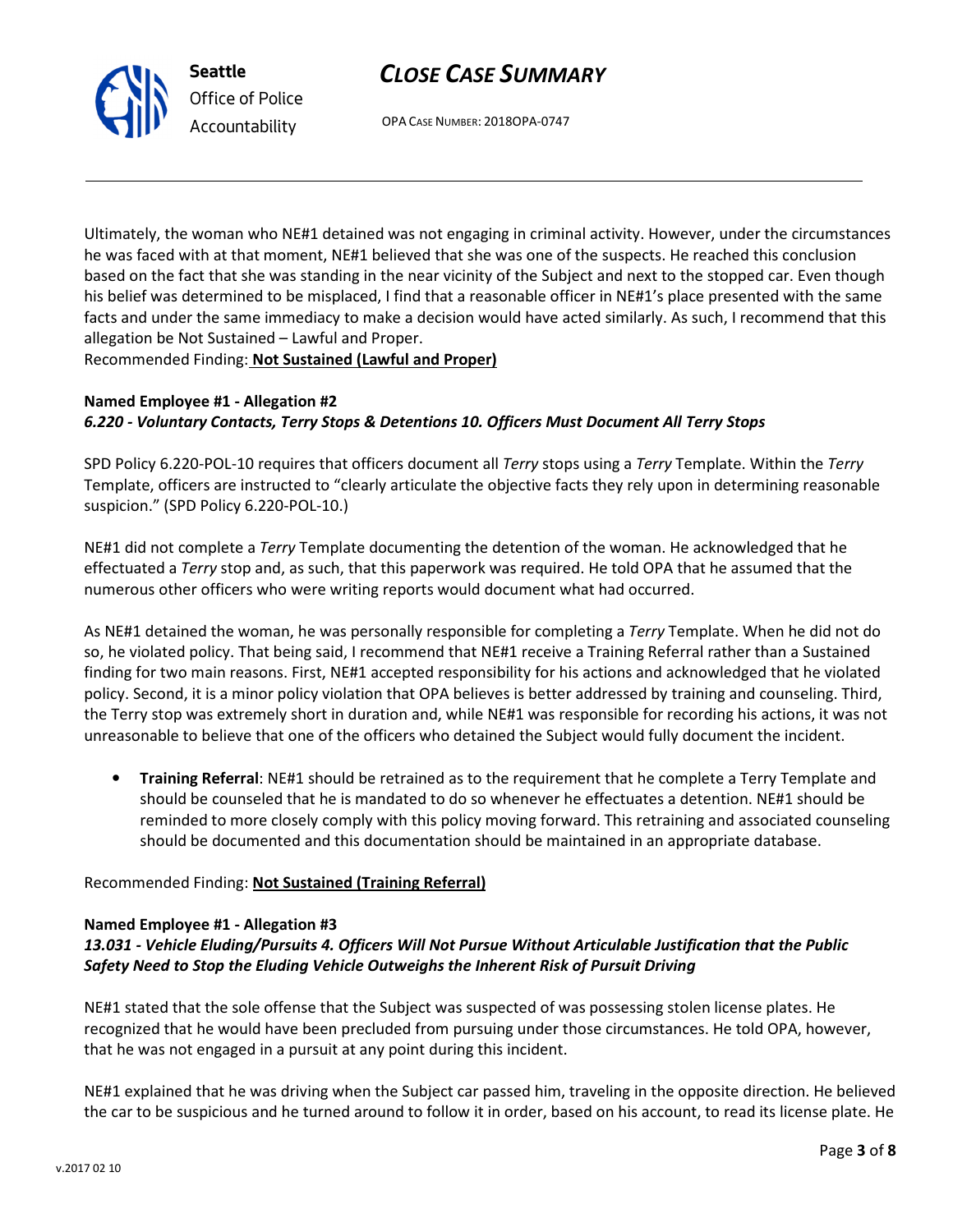

OPA CASE NUMBER: 2018OPA-0747

Ultimately, the woman who NE#1 detained was not engaging in criminal activity. However, under the circumstances he was faced with at that moment, NE#1 believed that she was one of the suspects. He reached this conclusion based on the fact that she was standing in the near vicinity of the Subject and next to the stopped car. Even though his belief was determined to be misplaced, I find that a reasonable officer in NE#1's place presented with the same facts and under the same immediacy to make a decision would have acted similarly. As such, I recommend that this allegation be Not Sustained – Lawful and Proper.

Recommended Finding: Not Sustained (Lawful and Proper)

Seattle

Office of Police Accountability

# Named Employee #1 - Allegation #2 6.220 - Voluntary Contacts, Terry Stops & Detentions 10. Officers Must Document All Terry Stops

SPD Policy 6.220-POL-10 requires that officers document all Terry stops using a Terry Template. Within the Terry Template, officers are instructed to "clearly articulate the objective facts they rely upon in determining reasonable suspicion." (SPD Policy 6.220-POL-10.)

NE#1 did not complete a Terry Template documenting the detention of the woman. He acknowledged that he effectuated a Terry stop and, as such, that this paperwork was required. He told OPA that he assumed that the numerous other officers who were writing reports would document what had occurred.

As NE#1 detained the woman, he was personally responsible for completing a Terry Template. When he did not do so, he violated policy. That being said, I recommend that NE#1 receive a Training Referral rather than a Sustained finding for two main reasons. First, NE#1 accepted responsibility for his actions and acknowledged that he violated policy. Second, it is a minor policy violation that OPA believes is better addressed by training and counseling. Third, the Terry stop was extremely short in duration and, while NE#1 was responsible for recording his actions, it was not unreasonable to believe that one of the officers who detained the Subject would fully document the incident.

• Training Referral: NE#1 should be retrained as to the requirement that he complete a Terry Template and should be counseled that he is mandated to do so whenever he effectuates a detention. NE#1 should be reminded to more closely comply with this policy moving forward. This retraining and associated counseling should be documented and this documentation should be maintained in an appropriate database.

# Recommended Finding: Not Sustained (Training Referral)

#### Named Employee #1 - Allegation #3

# 13.031 - Vehicle Eluding/Pursuits 4. Officers Will Not Pursue Without Articulable Justification that the Public Safety Need to Stop the Eluding Vehicle Outweighs the Inherent Risk of Pursuit Driving

NE#1 stated that the sole offense that the Subject was suspected of was possessing stolen license plates. He recognized that he would have been precluded from pursuing under those circumstances. He told OPA, however, that he was not engaged in a pursuit at any point during this incident.

NE#1 explained that he was driving when the Subject car passed him, traveling in the opposite direction. He believed the car to be suspicious and he turned around to follow it in order, based on his account, to read its license plate. He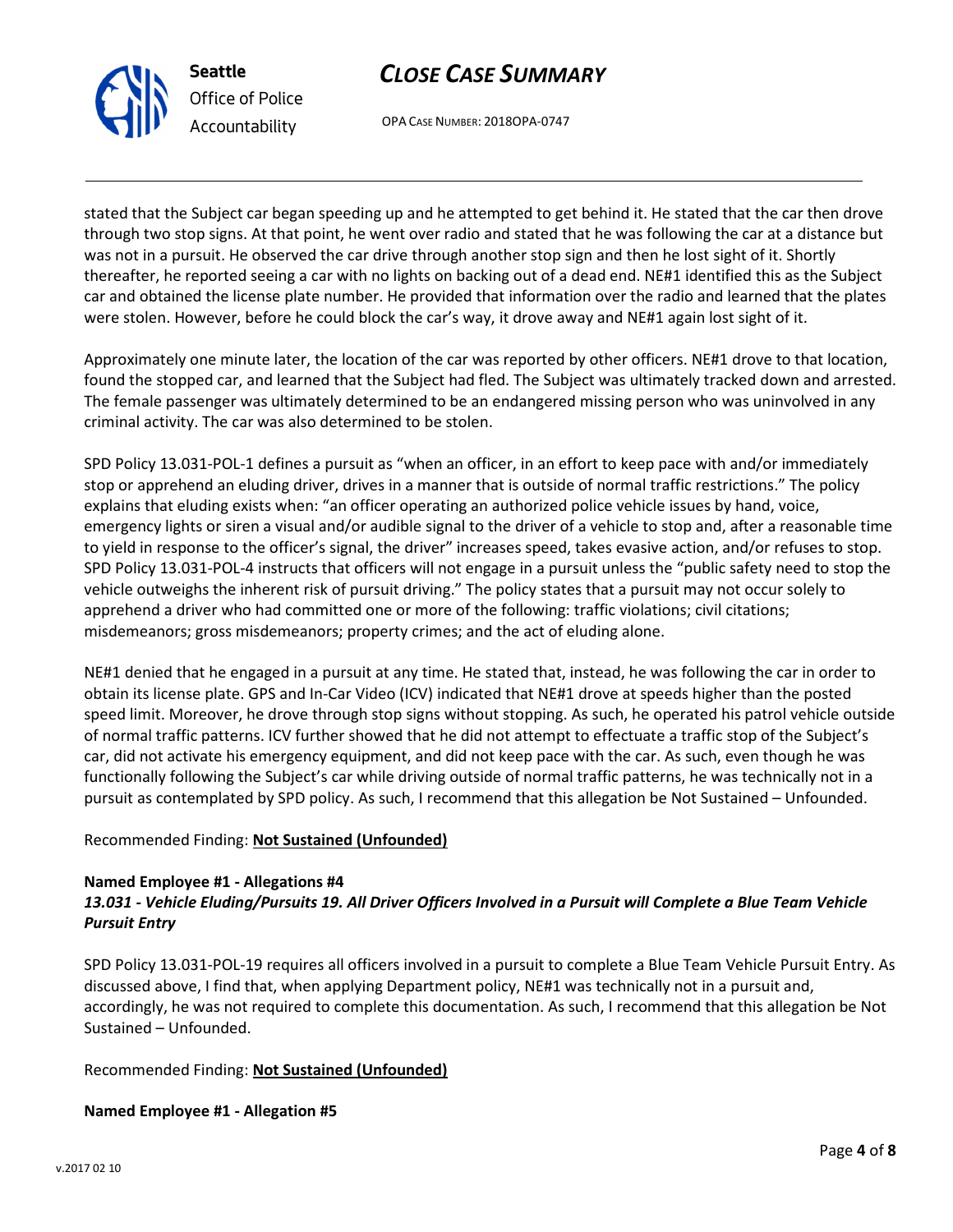OPA CASE NUMBER: 2018OPA-0747

stated that the Subject car began speeding up and he attempted to get behind it. He stated that the car then drove through two stop signs. At that point, he went over radio and stated that he was following the car at a distance but was not in a pursuit. He observed the car drive through another stop sign and then he lost sight of it. Shortly thereafter, he reported seeing a car with no lights on backing out of a dead end. NE#1 identified this as the Subject car and obtained the license plate number. He provided that information over the radio and learned that the plates were stolen. However, before he could block the car's way, it drove away and NE#1 again lost sight of it.

Approximately one minute later, the location of the car was reported by other officers. NE#1 drove to that location, found the stopped car, and learned that the Subject had fled. The Subject was ultimately tracked down and arrested. The female passenger was ultimately determined to be an endangered missing person who was uninvolved in any criminal activity. The car was also determined to be stolen.

SPD Policy 13.031-POL-1 defines a pursuit as "when an officer, in an effort to keep pace with and/or immediately stop or apprehend an eluding driver, drives in a manner that is outside of normal traffic restrictions." The policy explains that eluding exists when: "an officer operating an authorized police vehicle issues by hand, voice, emergency lights or siren a visual and/or audible signal to the driver of a vehicle to stop and, after a reasonable time to yield in response to the officer's signal, the driver" increases speed, takes evasive action, and/or refuses to stop. SPD Policy 13.031-POL-4 instructs that officers will not engage in a pursuit unless the "public safety need to stop the vehicle outweighs the inherent risk of pursuit driving." The policy states that a pursuit may not occur solely to apprehend a driver who had committed one or more of the following: traffic violations; civil citations; misdemeanors; gross misdemeanors; property crimes; and the act of eluding alone.

NE#1 denied that he engaged in a pursuit at any time. He stated that, instead, he was following the car in order to obtain its license plate. GPS and In-Car Video (ICV) indicated that NE#1 drove at speeds higher than the posted speed limit. Moreover, he drove through stop signs without stopping. As such, he operated his patrol vehicle outside of normal traffic patterns. ICV further showed that he did not attempt to effectuate a traffic stop of the Subject's car, did not activate his emergency equipment, and did not keep pace with the car. As such, even though he was functionally following the Subject's car while driving outside of normal traffic patterns, he was technically not in a pursuit as contemplated by SPD policy. As such, I recommend that this allegation be Not Sustained – Unfounded.

# Recommended Finding: Not Sustained (Unfounded)

### Named Employee #1 - Allegations #4 13.031 - Vehicle Eluding/Pursuits 19. All Driver Officers Involved in a Pursuit will Complete a Blue Team Vehicle Pursuit Entry

SPD Policy 13.031-POL-19 requires all officers involved in a pursuit to complete a Blue Team Vehicle Pursuit Entry. As discussed above, I find that, when applying Department policy, NE#1 was technically not in a pursuit and, accordingly, he was not required to complete this documentation. As such, I recommend that this allegation be Not Sustained – Unfounded.

# Recommended Finding: Not Sustained (Unfounded)

# Named Employee #1 - Allegation #5



Seattle Office of Police Accountability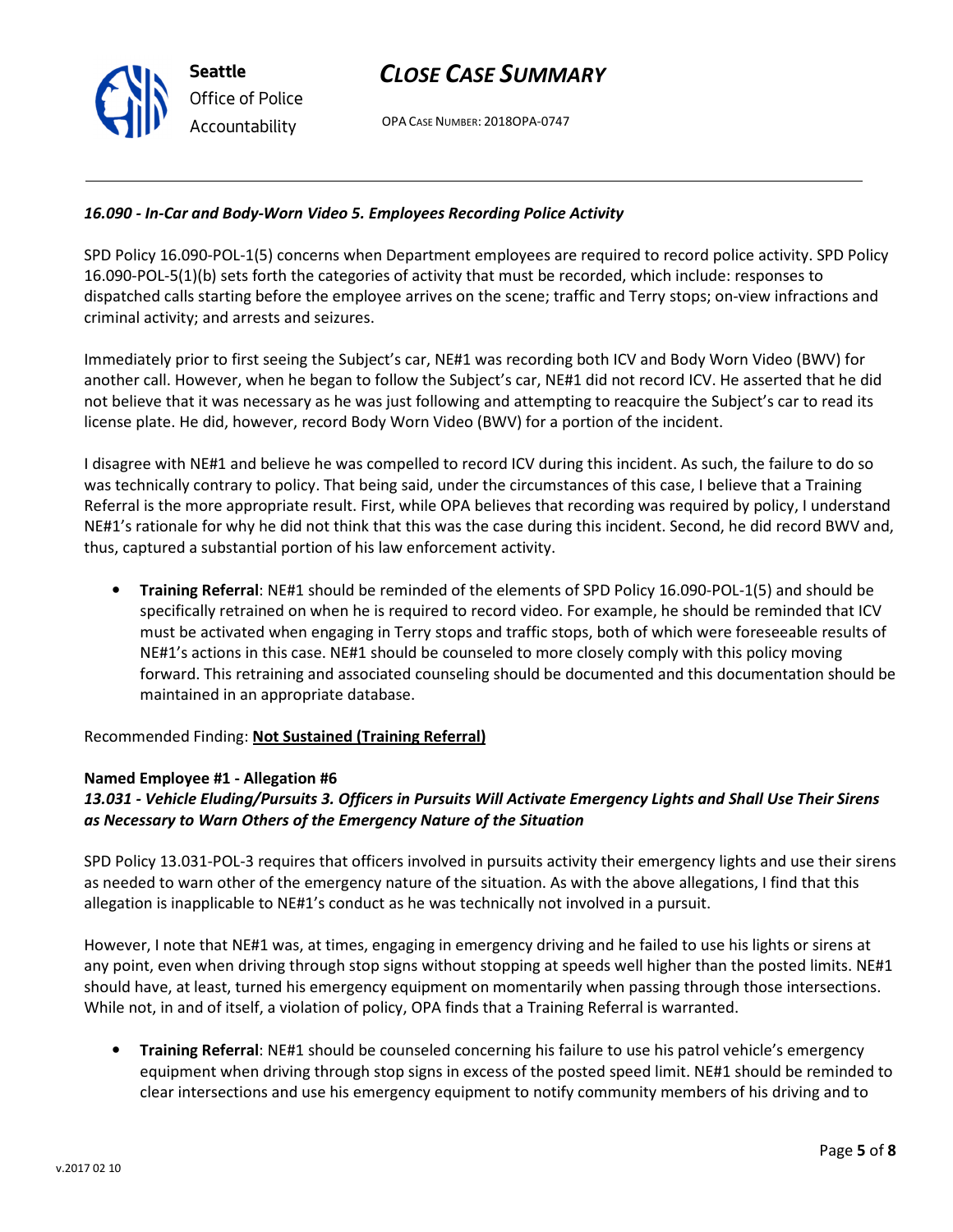OPA CASE NUMBER: 2018OPA-0747

### 16.090 - In-Car and Body-Worn Video 5. Employees Recording Police Activity

SPD Policy 16.090-POL-1(5) concerns when Department employees are required to record police activity. SPD Policy 16.090-POL-5(1)(b) sets forth the categories of activity that must be recorded, which include: responses to dispatched calls starting before the employee arrives on the scene; traffic and Terry stops; on-view infractions and criminal activity; and arrests and seizures.

Immediately prior to first seeing the Subject's car, NE#1 was recording both ICV and Body Worn Video (BWV) for another call. However, when he began to follow the Subject's car, NE#1 did not record ICV. He asserted that he did not believe that it was necessary as he was just following and attempting to reacquire the Subject's car to read its license plate. He did, however, record Body Worn Video (BWV) for a portion of the incident.

I disagree with NE#1 and believe he was compelled to record ICV during this incident. As such, the failure to do so was technically contrary to policy. That being said, under the circumstances of this case, I believe that a Training Referral is the more appropriate result. First, while OPA believes that recording was required by policy, I understand NE#1's rationale for why he did not think that this was the case during this incident. Second, he did record BWV and, thus, captured a substantial portion of his law enforcement activity.

• Training Referral: NE#1 should be reminded of the elements of SPD Policy 16.090-POL-1(5) and should be specifically retrained on when he is required to record video. For example, he should be reminded that ICV must be activated when engaging in Terry stops and traffic stops, both of which were foreseeable results of NE#1's actions in this case. NE#1 should be counseled to more closely comply with this policy moving forward. This retraining and associated counseling should be documented and this documentation should be maintained in an appropriate database.

Recommended Finding: Not Sustained (Training Referral)

#### Named Employee #1 - Allegation #6

# 13.031 - Vehicle Eluding/Pursuits 3. Officers in Pursuits Will Activate Emergency Lights and Shall Use Their Sirens as Necessary to Warn Others of the Emergency Nature of the Situation

SPD Policy 13.031-POL-3 requires that officers involved in pursuits activity their emergency lights and use their sirens as needed to warn other of the emergency nature of the situation. As with the above allegations, I find that this allegation is inapplicable to NE#1's conduct as he was technically not involved in a pursuit.

However, I note that NE#1 was, at times, engaging in emergency driving and he failed to use his lights or sirens at any point, even when driving through stop signs without stopping at speeds well higher than the posted limits. NE#1 should have, at least, turned his emergency equipment on momentarily when passing through those intersections. While not, in and of itself, a violation of policy, OPA finds that a Training Referral is warranted.

• Training Referral: NE#1 should be counseled concerning his failure to use his patrol vehicle's emergency equipment when driving through stop signs in excess of the posted speed limit. NE#1 should be reminded to clear intersections and use his emergency equipment to notify community members of his driving and to

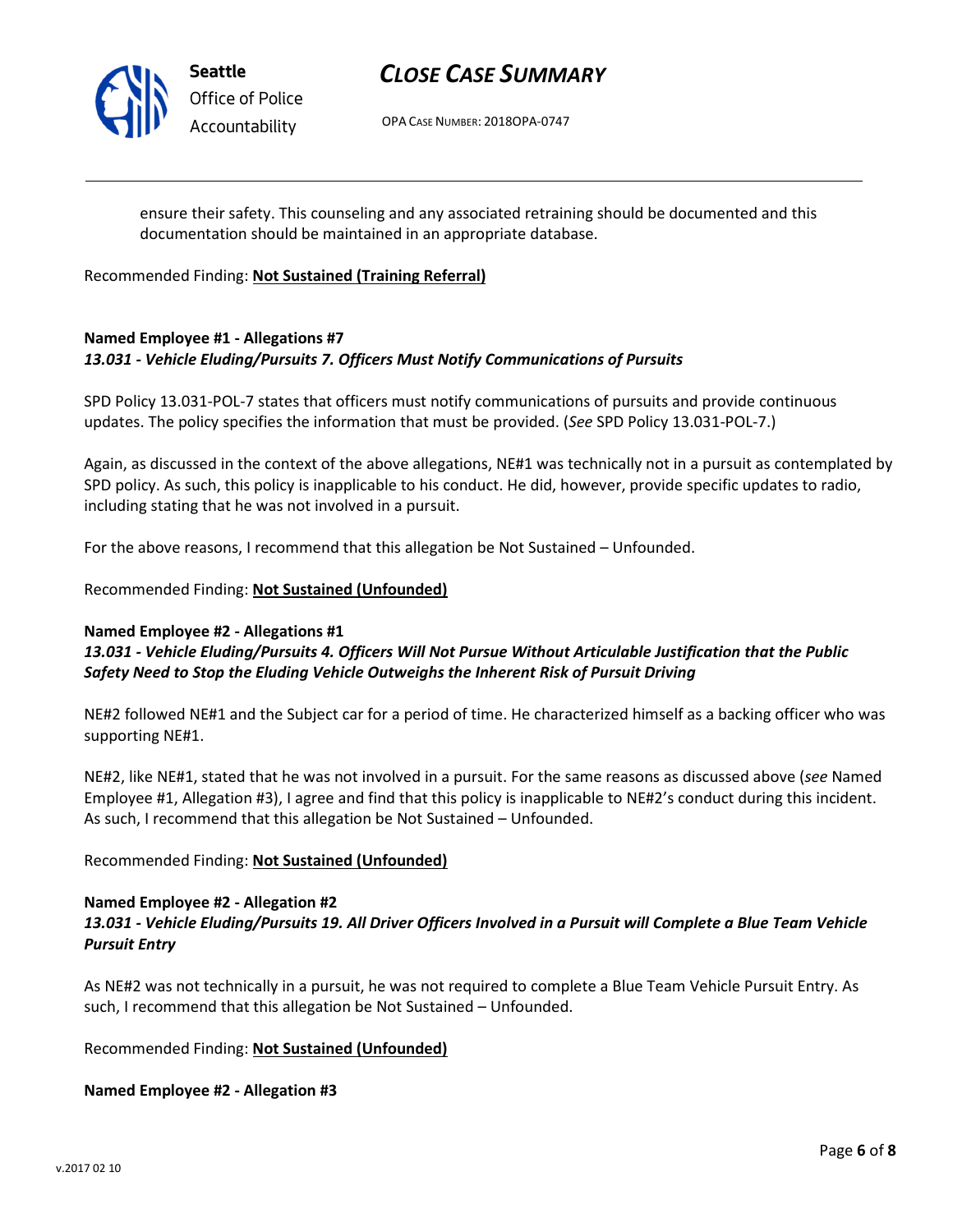

Seattle Office of Police Accountability

# CLOSE CASE SUMMARY

OPA CASE NUMBER: 2018OPA-0747

ensure their safety. This counseling and any associated retraining should be documented and this documentation should be maintained in an appropriate database.

Recommended Finding: Not Sustained (Training Referral)

# Named Employee #1 - Allegations #7 13.031 - Vehicle Eluding/Pursuits 7. Officers Must Notify Communications of Pursuits

SPD Policy 13.031-POL-7 states that officers must notify communications of pursuits and provide continuous updates. The policy specifies the information that must be provided. (See SPD Policy 13.031-POL-7.)

Again, as discussed in the context of the above allegations, NE#1 was technically not in a pursuit as contemplated by SPD policy. As such, this policy is inapplicable to his conduct. He did, however, provide specific updates to radio, including stating that he was not involved in a pursuit.

For the above reasons, I recommend that this allegation be Not Sustained – Unfounded.

Recommended Finding: Not Sustained (Unfounded)

#### Named Employee #2 - Allegations #1

13.031 - Vehicle Eluding/Pursuits 4. Officers Will Not Pursue Without Articulable Justification that the Public Safety Need to Stop the Eluding Vehicle Outweighs the Inherent Risk of Pursuit Driving

NE#2 followed NE#1 and the Subject car for a period of time. He characterized himself as a backing officer who was supporting NE#1.

NE#2, like NE#1, stated that he was not involved in a pursuit. For the same reasons as discussed above (see Named Employee #1, Allegation #3), I agree and find that this policy is inapplicable to NE#2's conduct during this incident. As such, I recommend that this allegation be Not Sustained – Unfounded.

Recommended Finding: Not Sustained (Unfounded)

# Named Employee #2 - Allegation #2

# 13.031 - Vehicle Eluding/Pursuits 19. All Driver Officers Involved in a Pursuit will Complete a Blue Team Vehicle Pursuit Entry

As NE#2 was not technically in a pursuit, he was not required to complete a Blue Team Vehicle Pursuit Entry. As such, I recommend that this allegation be Not Sustained – Unfounded.

Recommended Finding: Not Sustained (Unfounded)

Named Employee #2 - Allegation #3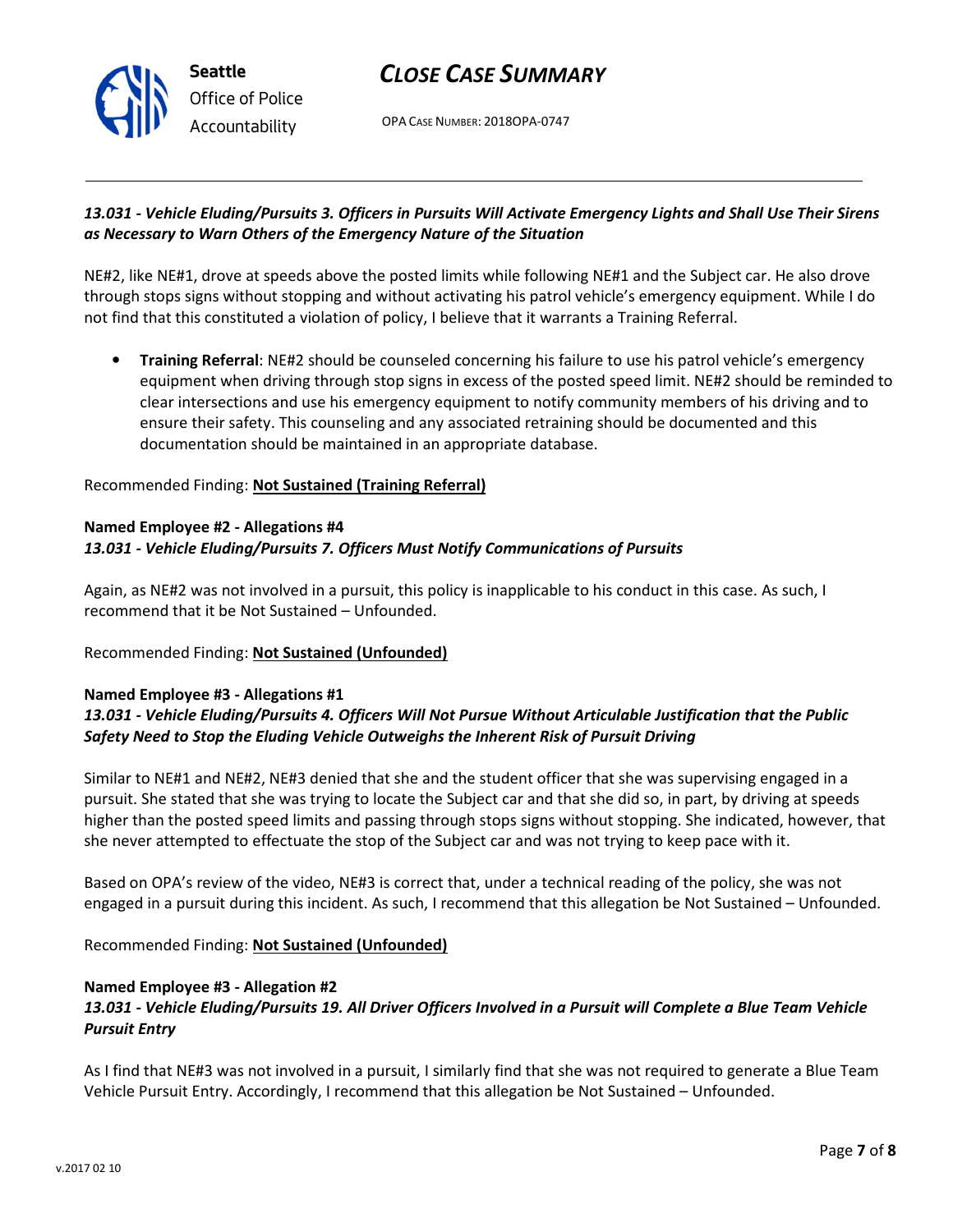OPA CASE NUMBER: 2018OPA-0747

### 13.031 - Vehicle Eluding/Pursuits 3. Officers in Pursuits Will Activate Emergency Lights and Shall Use Their Sirens as Necessary to Warn Others of the Emergency Nature of the Situation

NE#2, like NE#1, drove at speeds above the posted limits while following NE#1 and the Subject car. He also drove through stops signs without stopping and without activating his patrol vehicle's emergency equipment. While I do not find that this constituted a violation of policy, I believe that it warrants a Training Referral.

• Training Referral: NE#2 should be counseled concerning his failure to use his patrol vehicle's emergency equipment when driving through stop signs in excess of the posted speed limit. NE#2 should be reminded to clear intersections and use his emergency equipment to notify community members of his driving and to ensure their safety. This counseling and any associated retraining should be documented and this documentation should be maintained in an appropriate database.

### Recommended Finding: Not Sustained (Training Referral)

### Named Employee #2 - Allegations #4 13.031 - Vehicle Eluding/Pursuits 7. Officers Must Notify Communications of Pursuits

Again, as NE#2 was not involved in a pursuit, this policy is inapplicable to his conduct in this case. As such, I recommend that it be Not Sustained – Unfounded.

# Recommended Finding: Not Sustained (Unfounded)

### Named Employee #3 - Allegations #1 13.031 - Vehicle Eluding/Pursuits 4. Officers Will Not Pursue Without Articulable Justification that the Public Safety Need to Stop the Eluding Vehicle Outweighs the Inherent Risk of Pursuit Driving

Similar to NE#1 and NE#2, NE#3 denied that she and the student officer that she was supervising engaged in a pursuit. She stated that she was trying to locate the Subject car and that she did so, in part, by driving at speeds higher than the posted speed limits and passing through stops signs without stopping. She indicated, however, that she never attempted to effectuate the stop of the Subject car and was not trying to keep pace with it.

Based on OPA's review of the video, NE#3 is correct that, under a technical reading of the policy, she was not engaged in a pursuit during this incident. As such, I recommend that this allegation be Not Sustained – Unfounded.

Recommended Finding: Not Sustained (Unfounded)

#### Named Employee #3 - Allegation #2

# 13.031 - Vehicle Eluding/Pursuits 19. All Driver Officers Involved in a Pursuit will Complete a Blue Team Vehicle Pursuit Entry

As I find that NE#3 was not involved in a pursuit, I similarly find that she was not required to generate a Blue Team Vehicle Pursuit Entry. Accordingly, I recommend that this allegation be Not Sustained – Unfounded.



Seattle Office of Police Accountability